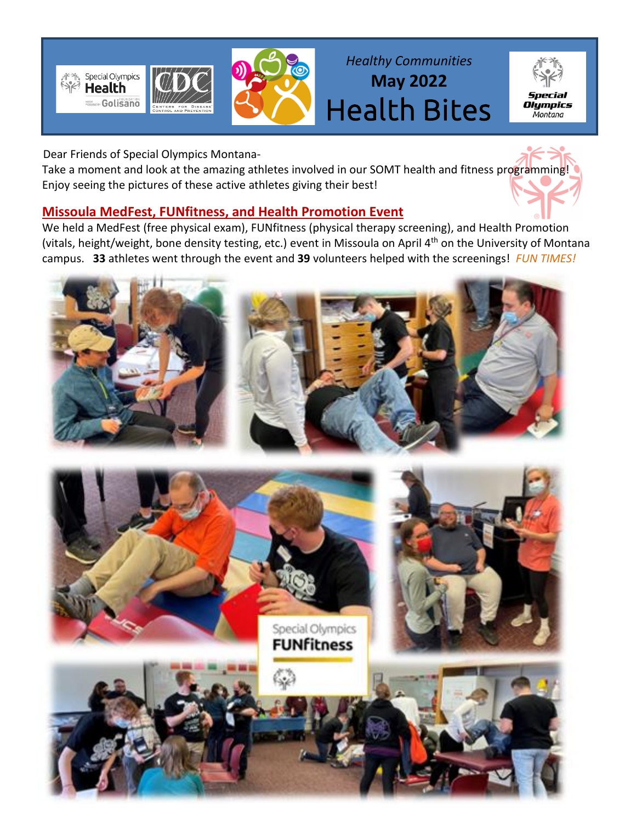



*Healthy Communities* **May 2022** Health Bites



Dear Friends of Special Olympics Montana-

Take a moment and look at the amazing athletes involved in our SOMT health and fitness programming! Enjoy seeing the pictures of these active athletes giving their best!

## **Missoula MedFest, FUNfitness, and Health Promotion Event**

We held a MedFest (free physical exam), FUNfitness (physical therapy screening), and Health Promotion (vitals, height/weight, bone density testing, etc.) event in Missoula on April 4<sup>th</sup> on the University of Montana campus. **33** athletes went through the event and **39** volunteers helped with the screenings! *FUN TIMES!*



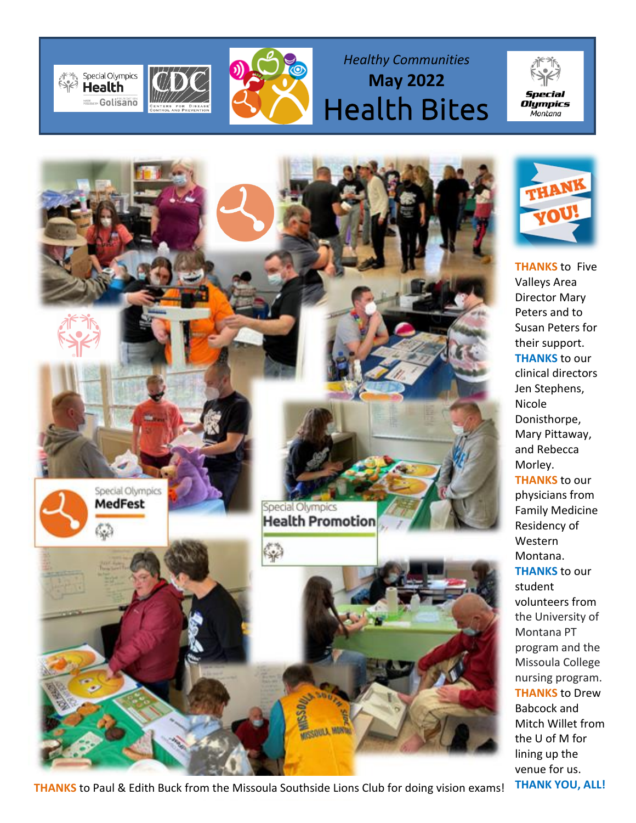



*Healthy Communities* **May 2022** Health Bites



**THANKS** to Paul & Edith Buck from the Missoula Southside Lions Club for doing vision exams! THANK YOU, ALL!



**Special** 

*op*ce.c..<br>Olympics Montana

**THANKS** to Five Valleys Area Director Mary Peters and to Susan Peters for their support. **THANKS** to our clinical directors Jen Stephens, Nicole Donisthorpe, Mary Pittaway, and Rebecca Morley. **THANKS** to our physicians from Family Medicine Residency of Western Montana. **THANKS** to our student volunteers from the University of Montana PT program and the Missoula College nursing program. **THANKS** to Drew Babcock and Mitch Willet from the U of M for lining up the venue for us.